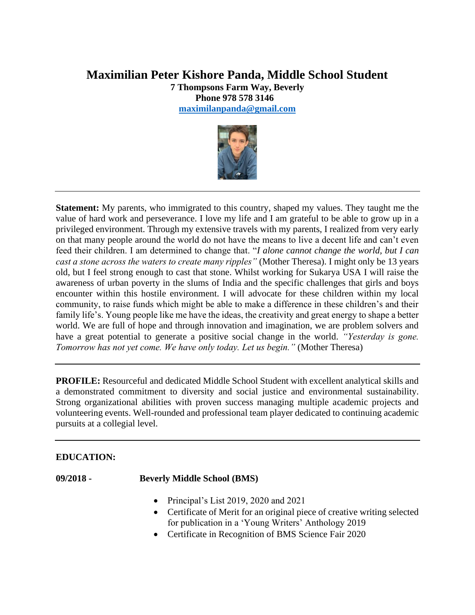# **Maximilian Peter Kishore Panda, Middle School Student**

**7 Thompsons Farm Way, Beverly Phone 978 578 3146 [maximilanpanda@gmail.com](mailto:maximilanpanda@gmail.com)**



**Statement:** My parents, who immigrated to this country, shaped my values. They taught me the value of hard work and perseverance. I love my life and I am grateful to be able to grow up in a privileged environment. Through my extensive travels with my parents, I realized from very early on that many people around the world do not have the means to live a decent life and can't even feed their children. I am determined to change that. "*I alone cannot change the world, but I can cast a stone across the waters to create many ripples"* (Mother Theresa). I might only be 13 years old, but I feel strong enough to cast that stone. Whilst working for Sukarya USA I will raise the awareness of urban poverty in the slums of India and the specific challenges that girls and boys encounter within this hostile environment. I will advocate for these children within my local community, to raise funds which might be able to make a difference in these children's and their family life's. Young people like me have the ideas, the creativity and great energy to shape a better world. We are full of hope and through innovation and imagination, we are problem solvers and have a great potential to generate a positive social change in the world. *"Yesterday is gone. Tomorrow has not yet come. We have only today. Let us begin."* (Mother Theresa)

**PROFILE:** Resourceful and dedicated Middle School Student with excellent analytical skills and a demonstrated commitment to diversity and social justice and environmental sustainability. Strong organizational abilities with proven success managing multiple academic projects and volunteering events. Well-rounded and professional team player dedicated to continuing academic pursuits at a collegial level.

# **EDUCATION:**

**09/2018 - Beverly Middle School (BMS)**

- Principal's List 2019, 2020 and 2021
- Certificate of Merit for an original piece of creative writing selected for publication in a 'Young Writers' Anthology 2019
- Certificate in Recognition of BMS Science Fair 2020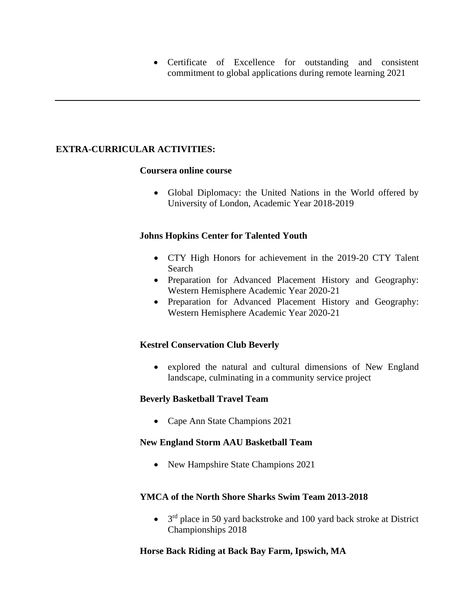• Certificate of Excellence for outstanding and consistent commitment to global applications during remote learning 2021

# **EXTRA-CURRICULAR ACTIVITIES:**

#### **Coursera online course**

• Global Diplomacy: the United Nations in the World offered by University of London, Academic Year 2018-2019

### **Johns Hopkins Center for Talented Youth**

- CTY High Honors for achievement in the 2019-20 CTY Talent Search
- Preparation for Advanced Placement History and Geography: Western Hemisphere Academic Year 2020-21
- Preparation for Advanced Placement History and Geography: Western Hemisphere Academic Year 2020-21

# **Kestrel Conservation Club Beverly**

• explored the natural and cultural dimensions of New England landscape, culminating in a community service project

# **Beverly Basketball Travel Team**

• Cape Ann State Champions 2021

#### **New England Storm AAU Basketball Team**

• New Hampshire State Champions 2021

# **YMCA of the North Shore Sharks Swim Team 2013-2018**

• 3<sup>rd</sup> place in 50 yard backstroke and 100 yard back stroke at District Championships 2018

# **Horse Back Riding at Back Bay Farm, Ipswich, MA**